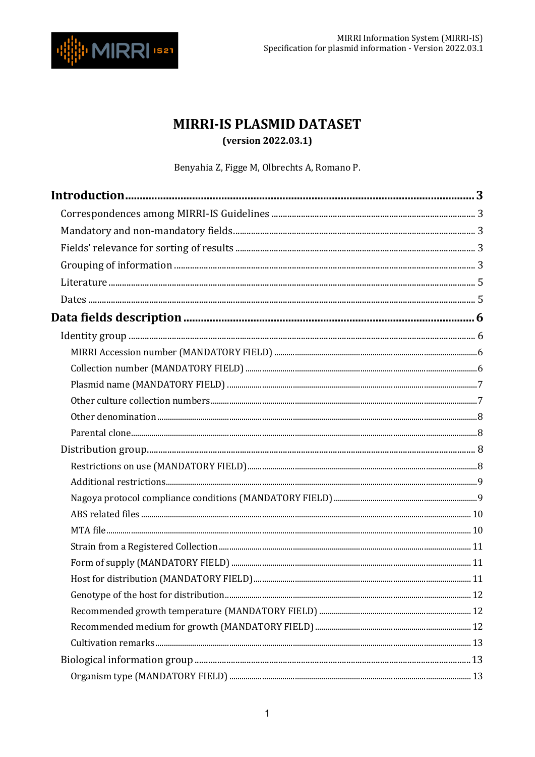

## MIRRI-IS PLASMID DATASET

(version 2022.03.1)

Benyahia Z, Figge M, Olbrechts A, Romano P.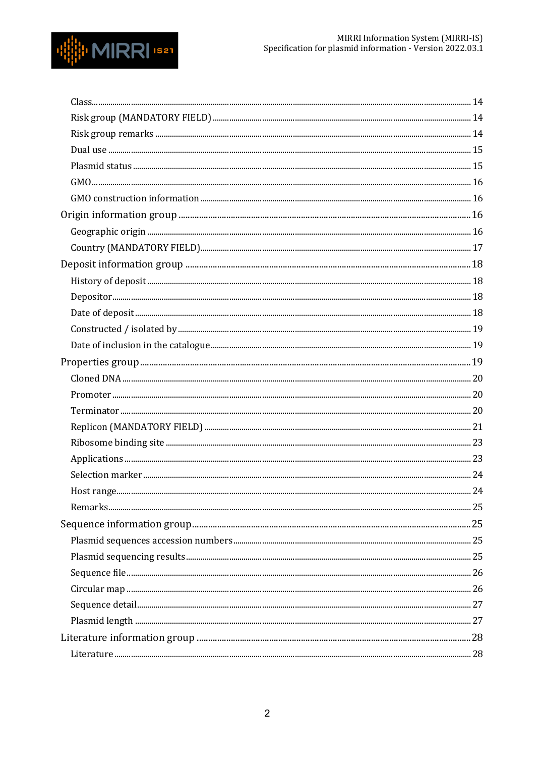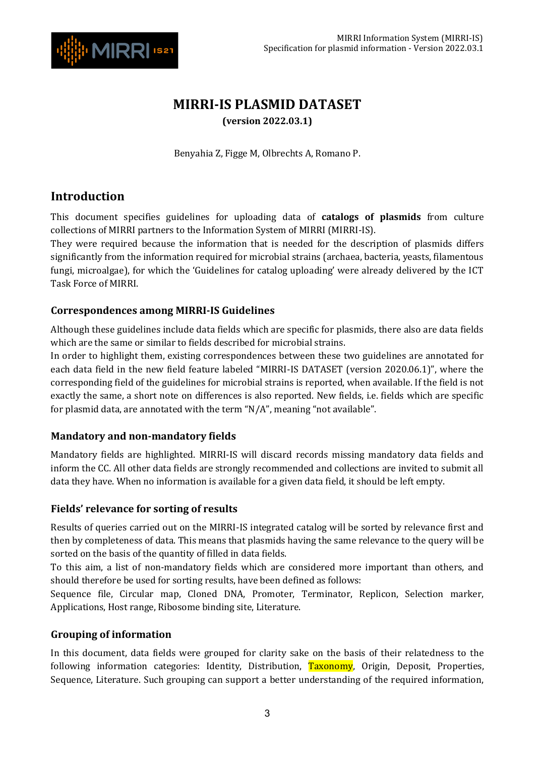

## **MIRRI-IS PLASMID DATASET (version 2022.03.1)**

Benyahia Z, Figge M, Olbrechts A, Romano P.

## <span id="page-2-0"></span>**Introduction**

This document specifies guidelines for uploading data of **catalogs of plasmids** from culture collections of MIRRI partners to the Information System of MIRRI (MIRRI-IS).

They were required because the information that is needed for the description of plasmids differs significantly from the information required for microbial strains (archaea, bacteria, yeasts, filamentous fungi, microalgae), for which the 'Guidelines for catalog uploading' were already delivered by the ICT Task Force of MIRRI.

#### <span id="page-2-1"></span>**Correspondences among MIRRI-IS Guidelines**

Although these guidelines include data fields which are specific for plasmids, there also are data fields which are the same or similar to fields described for microbial strains.

In order to highlight them, existing correspondences between these two guidelines are annotated for each data field in the new field feature labeled "MIRRI-IS DATASET (version 2020.06.1)", where the corresponding field of the guidelines for microbial strains is reported, when available. If the field is not exactly the same, a short note on differences is also reported. New fields, i.e. fields which are specific for plasmid data, are annotated with the term "N/A", meaning "not available".

#### <span id="page-2-2"></span>**Mandatory and non-mandatory fields**

Mandatory fields are highlighted. MIRRI-IS will discard records missing mandatory data fields and inform the CC. All other data fields are strongly recommended and collections are invited to submit all data they have. When no information is available for a given data field, it should be left empty.

#### <span id="page-2-3"></span>**Fields' relevance for sorting of results**

Results of queries carried out on the MIRRI-IS integrated catalog will be sorted by relevance first and then by completeness of data. This means that plasmids having the same relevance to the query will be sorted on the basis of the quantity of filled in data fields.

To this aim, a list of non-mandatory fields which are considered more important than others, and should therefore be used for sorting results, have been defined as follows:

Sequence file, Circular map, Cloned DNA, Promoter, Terminator, Replicon, Selection marker, Applications, Host range, Ribosome binding site, Literature.

#### <span id="page-2-4"></span>**Grouping of information**

In this document, data fields were grouped for clarity sake on the basis of their relatedness to the following information categories: Identity, Distribution, Taxonomy, Origin, Deposit, Properties, Sequence, Literature. Such grouping can support a better understanding of the required information,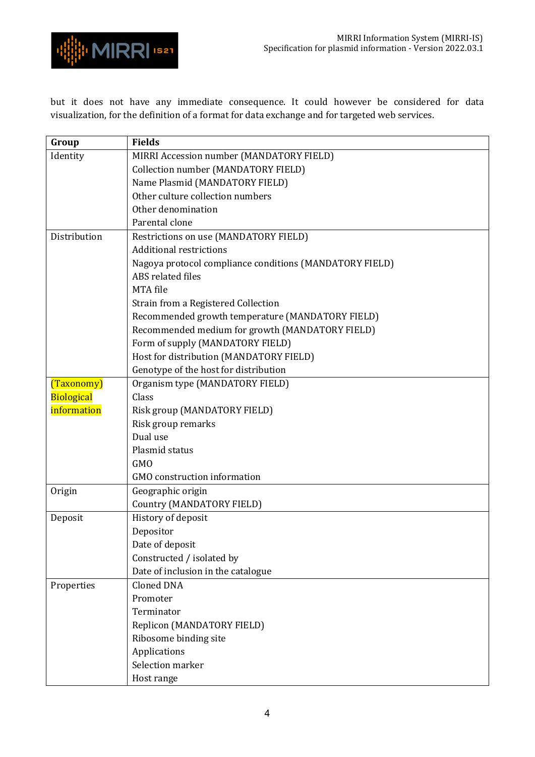

but it does not have any immediate consequence. It could however be considered for data visualization, for the definition of a format for data exchange and for targeted web services.

| Group             | <b>Fields</b>                                           |
|-------------------|---------------------------------------------------------|
| Identity          | MIRRI Accession number (MANDATORY FIELD)                |
|                   | Collection number (MANDATORY FIELD)                     |
|                   | Name Plasmid (MANDATORY FIELD)                          |
|                   | Other culture collection numbers                        |
|                   | Other denomination                                      |
|                   | Parental clone                                          |
| Distribution      | Restrictions on use (MANDATORY FIELD)                   |
|                   | <b>Additional restrictions</b>                          |
|                   | Nagoya protocol compliance conditions (MANDATORY FIELD) |
|                   | ABS related files                                       |
|                   | MTA file                                                |
|                   | Strain from a Registered Collection                     |
|                   | Recommended growth temperature (MANDATORY FIELD)        |
|                   | Recommended medium for growth (MANDATORY FIELD)         |
|                   | Form of supply (MANDATORY FIELD)                        |
|                   | Host for distribution (MANDATORY FIELD)                 |
|                   | Genotype of the host for distribution                   |
| (Taxonomy)        | Organism type (MANDATORY FIELD)                         |
| <b>Biological</b> | Class                                                   |
| information       | Risk group (MANDATORY FIELD)                            |
|                   | Risk group remarks                                      |
|                   | Dual use                                                |
|                   | Plasmid status                                          |
|                   | <b>GMO</b>                                              |
|                   | <b>GMO</b> construction information                     |
| Origin            | Geographic origin                                       |
|                   | <b>Country (MANDATORY FIELD)</b>                        |
| Deposit           | History of deposit                                      |
|                   | Depositor                                               |
|                   | Date of deposit                                         |
|                   | Constructed / isolated by                               |
|                   | Date of inclusion in the catalogue                      |
| Properties        | <b>Cloned DNA</b>                                       |
|                   | Promoter                                                |
|                   | Terminator                                              |
|                   | Replicon (MANDATORY FIELD)                              |
|                   | Ribosome binding site                                   |
|                   | Applications                                            |
|                   | Selection marker                                        |
|                   | Host range                                              |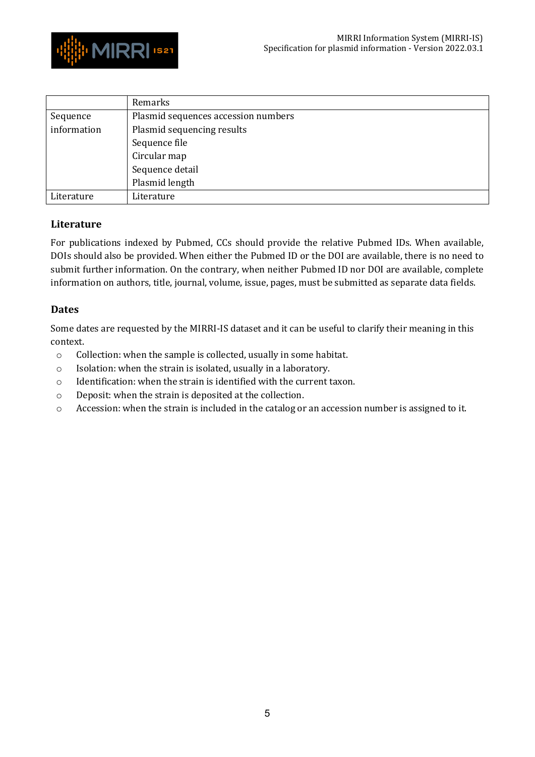

|             | Remarks                             |
|-------------|-------------------------------------|
| Sequence    | Plasmid sequences accession numbers |
| information | Plasmid sequencing results          |
|             | Sequence file                       |
|             | Circular map                        |
|             | Sequence detail                     |
|             | Plasmid length                      |
| Literature  | Literature                          |

#### <span id="page-4-0"></span>**Literature**

For publications indexed by Pubmed, CCs should provide the relative Pubmed IDs. When available, DOIs should also be provided. When either the Pubmed ID or the DOI are available, there is no need to submit further information. On the contrary, when neither Pubmed ID nor DOI are available, complete information on authors, title, journal, volume, issue, pages, must be submitted as separate data fields.

#### <span id="page-4-1"></span>**Dates**

Some dates are requested by the MIRRI-IS dataset and it can be useful to clarify their meaning in this context.

- o Collection: when the sample is collected, usually in some habitat.
- o Isolation: when the strain is isolated, usually in a laboratory.
- o Identification: when the strain is identified with the current taxon.
- o Deposit: when the strain is deposited at the collection.
- o Accession: when the strain is included in the catalog or an accession number is assigned to it.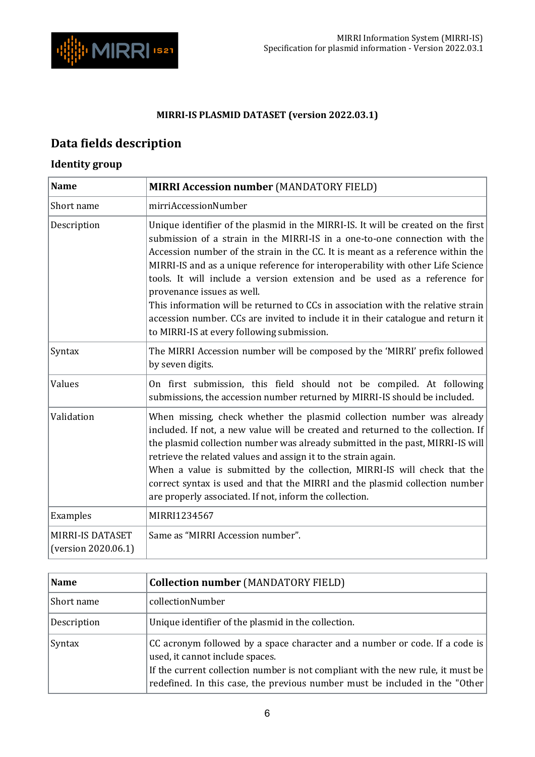

### <span id="page-5-2"></span>**MIRRI-IS PLASMID DATASET (version 2022.03.1)**

# <span id="page-5-0"></span>**Data fields description**

## <span id="page-5-1"></span>**Identity group**

| <b>Name</b>                                    | <b>MIRRI Accession number (MANDATORY FIELD)</b>                                                                                                                                                                                                                                                                                                                                                                                                                                                                                                                                                                                                                        |
|------------------------------------------------|------------------------------------------------------------------------------------------------------------------------------------------------------------------------------------------------------------------------------------------------------------------------------------------------------------------------------------------------------------------------------------------------------------------------------------------------------------------------------------------------------------------------------------------------------------------------------------------------------------------------------------------------------------------------|
| Short name                                     | mirriAccessionNumber                                                                                                                                                                                                                                                                                                                                                                                                                                                                                                                                                                                                                                                   |
| Description                                    | Unique identifier of the plasmid in the MIRRI-IS. It will be created on the first<br>submission of a strain in the MIRRI-IS in a one-to-one connection with the<br>Accession number of the strain in the CC. It is meant as a reference within the<br>MIRRI-IS and as a unique reference for interoperability with other Life Science<br>tools. It will include a version extension and be used as a reference for<br>provenance issues as well.<br>This information will be returned to CCs in association with the relative strain<br>accession number. CCs are invited to include it in their catalogue and return it<br>to MIRRI-IS at every following submission. |
| Syntax                                         | The MIRRI Accession number will be composed by the 'MIRRI' prefix followed<br>by seven digits.                                                                                                                                                                                                                                                                                                                                                                                                                                                                                                                                                                         |
| Values                                         | On first submission, this field should not be compiled. At following<br>submissions, the accession number returned by MIRRI-IS should be included.                                                                                                                                                                                                                                                                                                                                                                                                                                                                                                                     |
| Validation                                     | When missing, check whether the plasmid collection number was already<br>included. If not, a new value will be created and returned to the collection. If<br>the plasmid collection number was already submitted in the past, MIRRI-IS will<br>retrieve the related values and assign it to the strain again.<br>When a value is submitted by the collection, MIRRI-IS will check that the<br>correct syntax is used and that the MIRRI and the plasmid collection number<br>are properly associated. If not, inform the collection.                                                                                                                                   |
| Examples                                       | MIRRI1234567                                                                                                                                                                                                                                                                                                                                                                                                                                                                                                                                                                                                                                                           |
| <b>MIRRI-IS DATASET</b><br>(version 2020.06.1) | Same as "MIRRI Accession number".                                                                                                                                                                                                                                                                                                                                                                                                                                                                                                                                                                                                                                      |

<span id="page-5-3"></span>

| Name          | <b>Collection number (MANDATORY FIELD)</b>                                                                                                                                                                                                                                        |
|---------------|-----------------------------------------------------------------------------------------------------------------------------------------------------------------------------------------------------------------------------------------------------------------------------------|
| Short name    | collectionNumber                                                                                                                                                                                                                                                                  |
| Description   | Unique identifier of the plasmid in the collection.                                                                                                                                                                                                                               |
| <b>Syntax</b> | CC acronym followed by a space character and a number or code. If a code is<br>used, it cannot include spaces.<br>If the current collection number is not compliant with the new rule, it must be<br>redefined. In this case, the previous number must be included in the "Other" |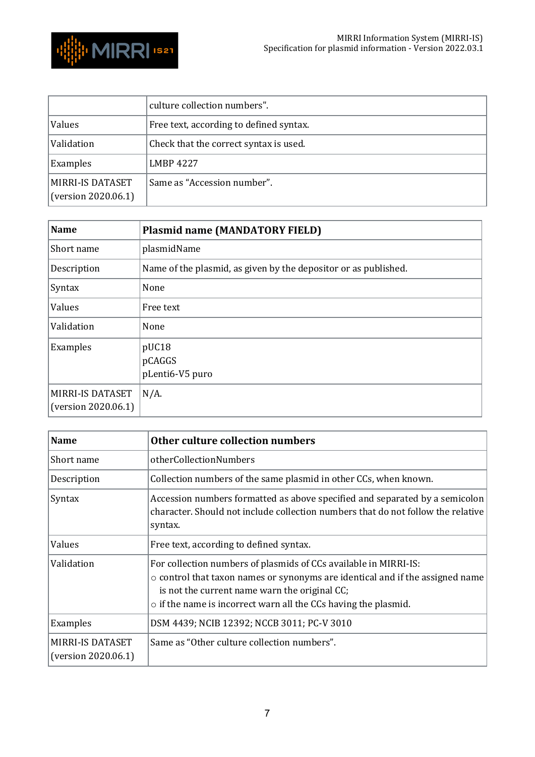

|                                         | culture collection numbers".            |
|-----------------------------------------|-----------------------------------------|
| Values                                  | Free text, according to defined syntax. |
| Validation                              | Check that the correct syntax is used.  |
| Examples                                | <b>LMBP 4227</b>                        |
| MIRRI-IS DATASET<br>(version 2020.06.1) | Same as "Accession number".             |

<span id="page-6-0"></span>

| <b>Name</b>                             | <b>Plasmid name (MANDATORY FIELD)</b>                           |
|-----------------------------------------|-----------------------------------------------------------------|
| Short name                              | plasmidName                                                     |
| Description                             | Name of the plasmid, as given by the depositor or as published. |
| Syntax                                  | None                                                            |
| Values                                  | Free text                                                       |
| Validation                              | None                                                            |
| Examples                                | pUC18<br>pCAGGS<br>pLenti6-V5 puro                              |
| MIRRI-IS DATASET<br>(version 2020.06.1) | $N/A$ .                                                         |

<span id="page-6-1"></span>

| Name                                           | Other culture collection numbers                                                                                                                                                                                                                                                  |
|------------------------------------------------|-----------------------------------------------------------------------------------------------------------------------------------------------------------------------------------------------------------------------------------------------------------------------------------|
| Short name                                     | otherCollectionNumbers                                                                                                                                                                                                                                                            |
| Description                                    | Collection numbers of the same plasmid in other CCs, when known.                                                                                                                                                                                                                  |
| Syntax                                         | Accession numbers formatted as above specified and separated by a semicolon<br>character. Should not include collection numbers that do not follow the relative<br>syntax.                                                                                                        |
| Values                                         | Free text, according to defined syntax.                                                                                                                                                                                                                                           |
| Validation                                     | For collection numbers of plasmids of CCs available in MIRRI-IS:<br>$\circ$ control that taxon names or synonyms are identical and if the assigned name<br>is not the current name warn the original CC;<br>$\circ$ if the name is incorrect warn all the CCs having the plasmid. |
| Examples                                       | DSM 4439; NCIB 12392; NCCB 3011; PC-V 3010                                                                                                                                                                                                                                        |
| <b>MIRRI-IS DATASET</b><br>(version 2020.06.1) | Same as "Other culture collection numbers".                                                                                                                                                                                                                                       |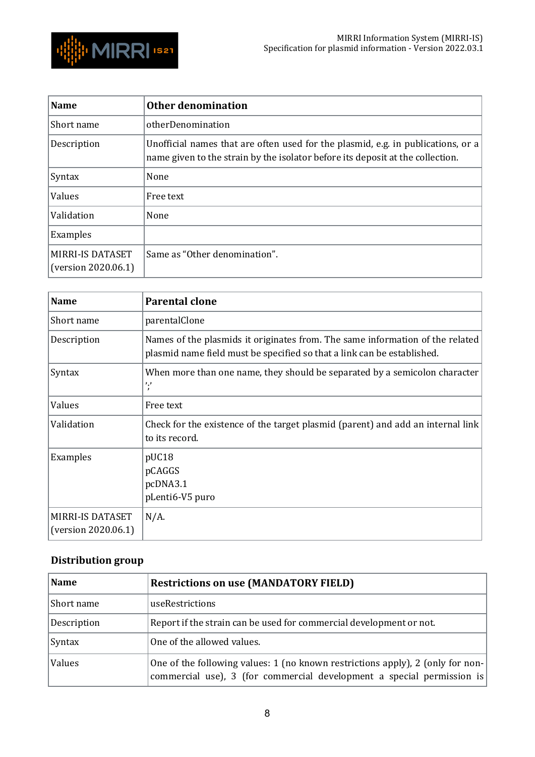

<span id="page-7-0"></span>

| <b>Name</b>                             | Other denomination                                                                                                                                                 |
|-----------------------------------------|--------------------------------------------------------------------------------------------------------------------------------------------------------------------|
| Short name                              | otherDenomination                                                                                                                                                  |
| Description                             | Unofficial names that are often used for the plasmid, e.g. in publications, or a<br>name given to the strain by the isolator before its deposit at the collection. |
| Syntax                                  | None                                                                                                                                                               |
| Values                                  | Free text                                                                                                                                                          |
| Validation                              | None                                                                                                                                                               |
| Examples                                |                                                                                                                                                                    |
| MIRRI-IS DATASET<br>(version 2020.06.1) | Same as "Other denomination".                                                                                                                                      |

<span id="page-7-1"></span>

| <b>Name</b>                             | <b>Parental clone</b>                                                                                                                                    |
|-----------------------------------------|----------------------------------------------------------------------------------------------------------------------------------------------------------|
| Short name                              | parentalClone                                                                                                                                            |
| Description                             | Names of the plasmids it originates from. The same information of the related<br>plasmid name field must be specified so that a link can be established. |
| Syntax                                  | When more than one name, they should be separated by a semicolon character<br>ر,<br>$\mathbf{r}$                                                         |
| Values                                  | Free text                                                                                                                                                |
| Validation                              | Check for the existence of the target plasmid (parent) and add an internal link<br>to its record.                                                        |
| Examples                                | pUC18<br>pCAGGS<br>pcDNA3.1<br>pLenti6-V5 puro                                                                                                           |
| MIRRI-IS DATASET<br>(version 2020.06.1) | $N/A$ .                                                                                                                                                  |

## <span id="page-7-2"></span>**Distribution group**

<span id="page-7-3"></span>

| <b>Name</b> | <b>Restrictions on use (MANDATORY FIELD)</b>                                                                                                             |
|-------------|----------------------------------------------------------------------------------------------------------------------------------------------------------|
| Short name  | useRestrictions                                                                                                                                          |
| Description | Report if the strain can be used for commercial development or not.                                                                                      |
| Syntax      | One of the allowed values.                                                                                                                               |
| Values      | One of the following values: 1 (no known restrictions apply), 2 (only for non-<br>commercial use), 3 (for commercial development a special permission is |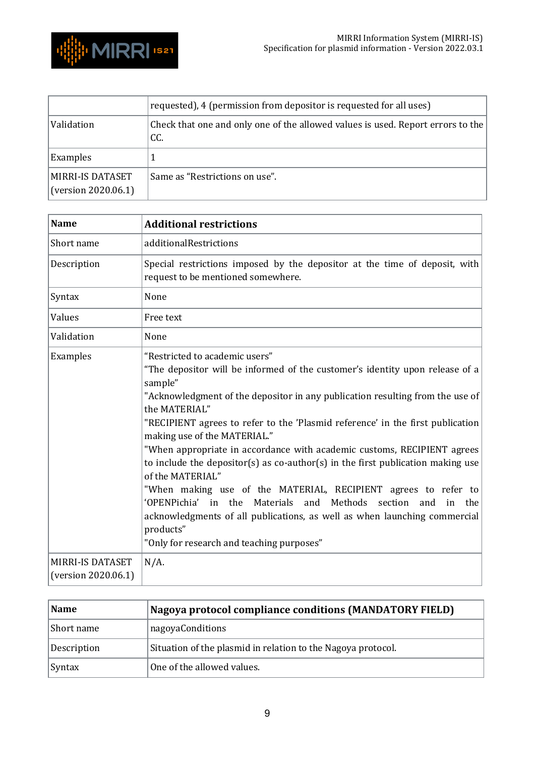

|                                         | requested), 4 (permission from depositor is requested for all uses)                    |
|-----------------------------------------|----------------------------------------------------------------------------------------|
| Validation                              | Check that one and only one of the allowed values is used. Report errors to the<br>CC. |
| Examples                                |                                                                                        |
| MIRRI-IS DATASET<br>(version 2020.06.1) | Same as "Restrictions on use".                                                         |

<span id="page-8-0"></span>

| <b>Name</b>                             | <b>Additional restrictions</b>                                                                                                                                                                                                                                                                                                                                                                                                                                                                                                                                                                                                                                                                                                                                                                                             |
|-----------------------------------------|----------------------------------------------------------------------------------------------------------------------------------------------------------------------------------------------------------------------------------------------------------------------------------------------------------------------------------------------------------------------------------------------------------------------------------------------------------------------------------------------------------------------------------------------------------------------------------------------------------------------------------------------------------------------------------------------------------------------------------------------------------------------------------------------------------------------------|
| Short name                              | additionalRestrictions                                                                                                                                                                                                                                                                                                                                                                                                                                                                                                                                                                                                                                                                                                                                                                                                     |
| Description                             | Special restrictions imposed by the depositor at the time of deposit, with<br>request to be mentioned somewhere.                                                                                                                                                                                                                                                                                                                                                                                                                                                                                                                                                                                                                                                                                                           |
| Syntax                                  | None                                                                                                                                                                                                                                                                                                                                                                                                                                                                                                                                                                                                                                                                                                                                                                                                                       |
| Values                                  | Free text                                                                                                                                                                                                                                                                                                                                                                                                                                                                                                                                                                                                                                                                                                                                                                                                                  |
| Validation                              | None                                                                                                                                                                                                                                                                                                                                                                                                                                                                                                                                                                                                                                                                                                                                                                                                                       |
| Examples                                | "Restricted to academic users"<br>"The depositor will be informed of the customer's identity upon release of a<br>sample"<br>"Acknowledgment of the depositor in any publication resulting from the use of<br>the MATERIAL"<br>"RECIPIENT agrees to refer to the 'Plasmid reference' in the first publication<br>making use of the MATERIAL."<br>"When appropriate in accordance with academic customs, RECIPIENT agrees<br>to include the depositor(s) as co-author(s) in the first publication making use<br>of the MATERIAL"<br>"When making use of the MATERIAL, RECIPIENT agrees to refer to<br>'OPENPichia' in the<br>Materials<br>and Methods<br>section<br>and<br>in<br>the<br>acknowledgments of all publications, as well as when launching commercial<br>products"<br>"Only for research and teaching purposes" |
| MIRRI-IS DATASET<br>(version 2020.06.1) | $N/A$ .                                                                                                                                                                                                                                                                                                                                                                                                                                                                                                                                                                                                                                                                                                                                                                                                                    |

<span id="page-8-1"></span>

| Name          | Nagoya protocol compliance conditions (MANDATORY FIELD)      |
|---------------|--------------------------------------------------------------|
| Short name    | nagoyaConditions                                             |
| Description   | Situation of the plasmid in relation to the Nagoya protocol. |
| <b>Syntax</b> | One of the allowed values.                                   |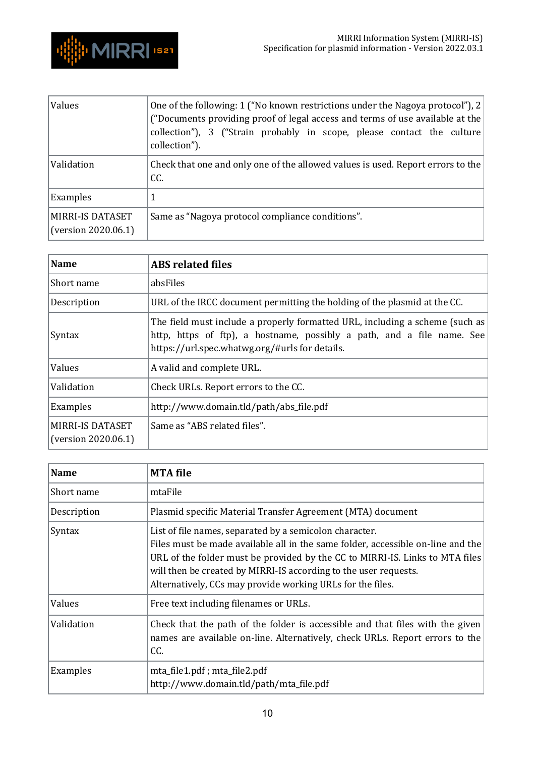

| Values                                         | One of the following: 1 ("No known restrictions under the Nagoya protocol"), 2<br>("Documents providing proof of legal access and terms of use available at the<br>collection"), 3 ("Strain probably in scope, please contact the culture<br>collection"). |
|------------------------------------------------|------------------------------------------------------------------------------------------------------------------------------------------------------------------------------------------------------------------------------------------------------------|
| Validation                                     | Check that one and only one of the allowed values is used. Report errors to the<br>CC.                                                                                                                                                                     |
| Examples                                       |                                                                                                                                                                                                                                                            |
| <b>MIRRI-IS DATASET</b><br>(version 2020.06.1) | Same as "Nagoya protocol compliance conditions".                                                                                                                                                                                                           |

<span id="page-9-0"></span>

| <b>Name</b>                             | <b>ABS</b> related files                                                                                                                                                                                 |
|-----------------------------------------|----------------------------------------------------------------------------------------------------------------------------------------------------------------------------------------------------------|
| Short name                              | absFiles                                                                                                                                                                                                 |
| Description                             | URL of the IRCC document permitting the holding of the plasmid at the CC.                                                                                                                                |
| Syntax                                  | The field must include a properly formatted URL, including a scheme (such as<br>http, https of ftp), a hostname, possibly a path, and a file name. See<br>https://url.spec.whatwg.org/#urls for details. |
| Values                                  | A valid and complete URL.                                                                                                                                                                                |
| Validation                              | Check URLs. Report errors to the CC.                                                                                                                                                                     |
| Examples                                | http://www.domain.tld/path/abs_file.pdf                                                                                                                                                                  |
| MIRRI-IS DATASET<br>(version 2020.06.1) | Same as "ABS related files".                                                                                                                                                                             |

<span id="page-9-1"></span>

| Name        | <b>MTA file</b>                                                                                                                                                                                                                                                                                                                                              |
|-------------|--------------------------------------------------------------------------------------------------------------------------------------------------------------------------------------------------------------------------------------------------------------------------------------------------------------------------------------------------------------|
| Short name  | mtaFile                                                                                                                                                                                                                                                                                                                                                      |
| Description | Plasmid specific Material Transfer Agreement (MTA) document                                                                                                                                                                                                                                                                                                  |
| Syntax      | List of file names, separated by a semicolon character.<br>Files must be made available all in the same folder, accessible on-line and the<br>URL of the folder must be provided by the CC to MIRRI-IS. Links to MTA files<br>will then be created by MIRRI-IS according to the user requests.<br>Alternatively, CCs may provide working URLs for the files. |
| Values      | Free text including filenames or URLs.                                                                                                                                                                                                                                                                                                                       |
| Validation  | Check that the path of the folder is accessible and that files with the given<br>names are available on-line. Alternatively, check URLs. Report errors to the<br>CC.                                                                                                                                                                                         |
| Examples    | mta_file1.pdf; mta_file2.pdf<br>http://www.domain.tld/path/mta_file.pdf                                                                                                                                                                                                                                                                                      |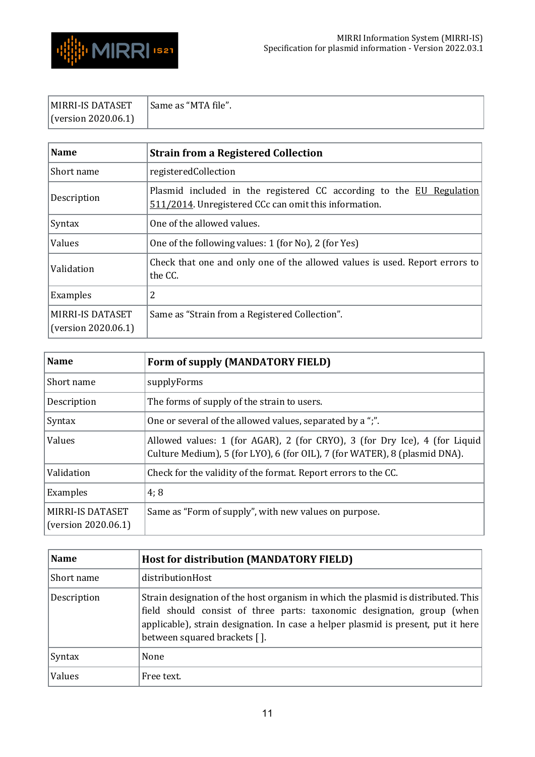

| MIRRI-IS DATASET    | Same as "MTA file". |
|---------------------|---------------------|
| (version 2020.06.1) |                     |

<span id="page-10-0"></span>

| <b>Name</b>                                    | <b>Strain from a Registered Collection</b>                                                                                    |
|------------------------------------------------|-------------------------------------------------------------------------------------------------------------------------------|
| Short name                                     | registeredCollection                                                                                                          |
| Description                                    | Plasmid included in the registered CC according to the EU Regulation<br>511/2014. Unregistered CCc can omit this information. |
| Syntax                                         | One of the allowed values.                                                                                                    |
| Values                                         | One of the following values: 1 (for No), 2 (for Yes)                                                                          |
| Validation                                     | Check that one and only one of the allowed values is used. Report errors to<br>the CC.                                        |
| Examples                                       | 2                                                                                                                             |
| <b>MIRRI-IS DATASET</b><br>(version 2020.06.1) | Same as "Strain from a Registered Collection".                                                                                |

<span id="page-10-1"></span>

| <b>Name</b>                             | Form of supply (MANDATORY FIELD)                                                                                                                         |
|-----------------------------------------|----------------------------------------------------------------------------------------------------------------------------------------------------------|
| Short name                              | supplyForms                                                                                                                                              |
| Description                             | The forms of supply of the strain to users.                                                                                                              |
| Syntax                                  | One or several of the allowed values, separated by a ";".                                                                                                |
| Values                                  | Allowed values: 1 (for AGAR), 2 (for CRYO), 3 (for Dry Ice), 4 (for Liquid<br>Culture Medium), 5 (for LYO), 6 (for OIL), 7 (for WATER), 8 (plasmid DNA). |
| Validation                              | Check for the validity of the format. Report errors to the CC.                                                                                           |
| Examples                                | 4;8                                                                                                                                                      |
| MIRRI-IS DATASET<br>(version 2020.06.1) | Same as "Form of supply", with new values on purpose.                                                                                                    |

<span id="page-10-2"></span>

| <b>Name</b> | <b>Host for distribution (MANDATORY FIELD)</b>                                                                                                                                                                                                                                    |
|-------------|-----------------------------------------------------------------------------------------------------------------------------------------------------------------------------------------------------------------------------------------------------------------------------------|
| Short name  | distributionHost                                                                                                                                                                                                                                                                  |
| Description | Strain designation of the host organism in which the plasmid is distributed. This<br>field should consist of three parts: taxonomic designation, group (when<br>applicable), strain designation. In case a helper plasmid is present, put it here<br>between squared brackets []. |
| Syntax      | None                                                                                                                                                                                                                                                                              |
| Values      | Free text.                                                                                                                                                                                                                                                                        |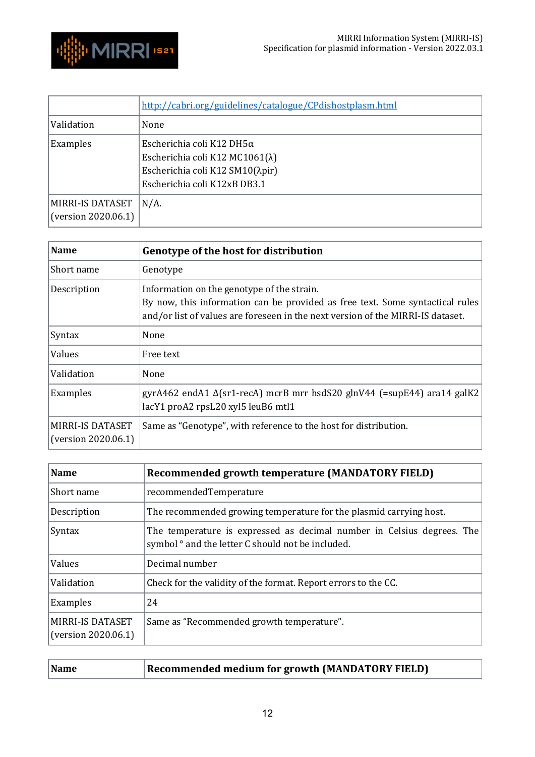

|                                         | http://cabri.org/guidelines/catalogue/CPdishostplasm.html                                                                              |
|-----------------------------------------|----------------------------------------------------------------------------------------------------------------------------------------|
| Validation                              | None                                                                                                                                   |
| Examples                                | Escherichia coli K12 DH5 $\alpha$<br>Escherichia coli K12 MC1061(λ)<br>Escherichia coli K12 SM10(λpir)<br>Escherichia coli K12xB DB3.1 |
| MIRRI-IS DATASET<br>(version 2020.06.1) | $N/A$ .                                                                                                                                |

<span id="page-11-0"></span>

| <b>Name</b>                                    | Genotype of the host for distribution                                                                                                                                                                          |
|------------------------------------------------|----------------------------------------------------------------------------------------------------------------------------------------------------------------------------------------------------------------|
| Short name                                     | Genotype                                                                                                                                                                                                       |
| Description                                    | Information on the genotype of the strain.<br>By now, this information can be provided as free text. Some syntactical rules<br>and/or list of values are foreseen in the next version of the MIRRI-IS dataset. |
| Syntax                                         | None                                                                                                                                                                                                           |
| Values                                         | Free text                                                                                                                                                                                                      |
| Validation                                     | None                                                                                                                                                                                                           |
| Examples                                       | gyrA462 endA1 $\Delta$ (sr1-recA) mcrB mrr hsdS20 glnV44 (=supE44) ara14 galK2<br>lacY1 proA2 rpsL20 xyl5 leuB6 mtl1                                                                                           |
| <b>MIRRI-IS DATASET</b><br>(version 2020.06.1) | Same as "Genotype", with reference to the host for distribution.                                                                                                                                               |

<span id="page-11-1"></span>

| <b>Name</b>                                    | Recommended growth temperature (MANDATORY FIELD)                                                                                       |
|------------------------------------------------|----------------------------------------------------------------------------------------------------------------------------------------|
| Short name                                     | recommendedTemperature                                                                                                                 |
| Description                                    | The recommended growing temperature for the plasmid carrying host.                                                                     |
| Syntax                                         | The temperature is expressed as decimal number in Celsius degrees. The<br>symbol <sup>o</sup> and the letter C should not be included. |
| Values                                         | Decimal number                                                                                                                         |
| Validation                                     | Check for the validity of the format. Report errors to the CC.                                                                         |
| Examples                                       | 24                                                                                                                                     |
| <b>MIRRI-IS DATASET</b><br>(version 2020.06.1) | Same as "Recommended growth temperature".                                                                                              |

<span id="page-11-2"></span>

| Name | $\vert$ Recommended medium for growth (MANDATORY FIELD) |
|------|---------------------------------------------------------|
|------|---------------------------------------------------------|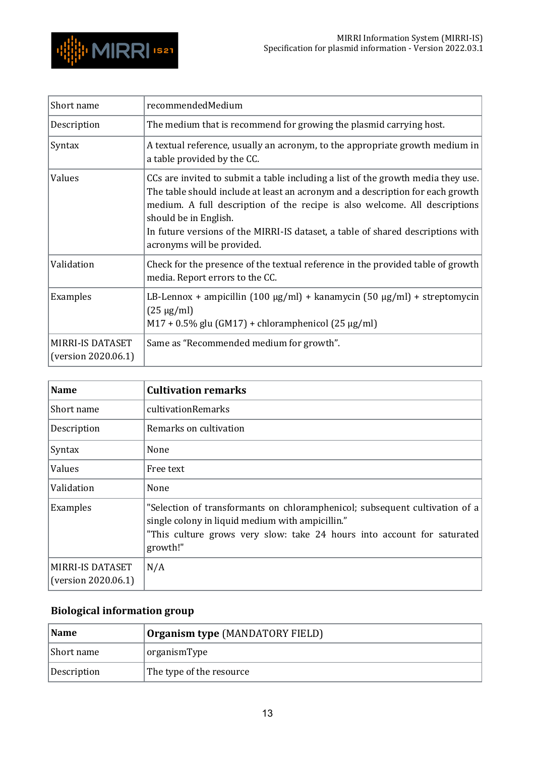

| Short name                              | recommendedMedium                                                                                                                                                                                                                                                                                                                                                                          |
|-----------------------------------------|--------------------------------------------------------------------------------------------------------------------------------------------------------------------------------------------------------------------------------------------------------------------------------------------------------------------------------------------------------------------------------------------|
| Description                             | The medium that is recommend for growing the plasmid carrying host.                                                                                                                                                                                                                                                                                                                        |
| Syntax                                  | A textual reference, usually an acronym, to the appropriate growth medium in<br>a table provided by the CC.                                                                                                                                                                                                                                                                                |
| Values                                  | CCs are invited to submit a table including a list of the growth media they use.<br>The table should include at least an acronym and a description for each growth<br>medium. A full description of the recipe is also welcome. All descriptions<br>should be in English.<br>In future versions of the MIRRI-IS dataset, a table of shared descriptions with<br>acronyms will be provided. |
| Validation                              | Check for the presence of the textual reference in the provided table of growth<br>media. Report errors to the CC.                                                                                                                                                                                                                                                                         |
| Examples                                | LB-Lennox + ampicillin (100 $\mu$ g/ml) + kanamycin (50 $\mu$ g/ml) + streptomycin<br>$(25 \mu g/ml)$<br>$M17 + 0.5\%$ glu (GM17) + chloramphenicol (25 µg/ml)                                                                                                                                                                                                                             |
| MIRRI-IS DATASET<br>(version 2020.06.1) | Same as "Recommended medium for growth".                                                                                                                                                                                                                                                                                                                                                   |

<span id="page-12-0"></span>

| <b>Name</b>                             | <b>Cultivation remarks</b>                                                                                                                                                                                             |
|-----------------------------------------|------------------------------------------------------------------------------------------------------------------------------------------------------------------------------------------------------------------------|
| Short name                              | cultivationRemarks                                                                                                                                                                                                     |
| Description                             | Remarks on cultivation                                                                                                                                                                                                 |
| Syntax                                  | None                                                                                                                                                                                                                   |
| Values                                  | Free text                                                                                                                                                                                                              |
| Validation                              | None                                                                                                                                                                                                                   |
| Examples                                | "Selection of transformants on chloramphenicol; subsequent cultivation of a<br>single colony in liquid medium with ampicillin."<br>"This culture grows very slow: take 24 hours into account for saturated<br>growth!" |
| MIRRI-IS DATASET<br>(version 2020.06.1) | N/A                                                                                                                                                                                                                    |

# <span id="page-12-1"></span>**Biological information group**

<span id="page-12-2"></span>

| <b>Name</b> | <b>Organism type (MANDATORY FIELD)</b> |
|-------------|----------------------------------------|
| Short name  | organismType                           |
| Description | The type of the resource               |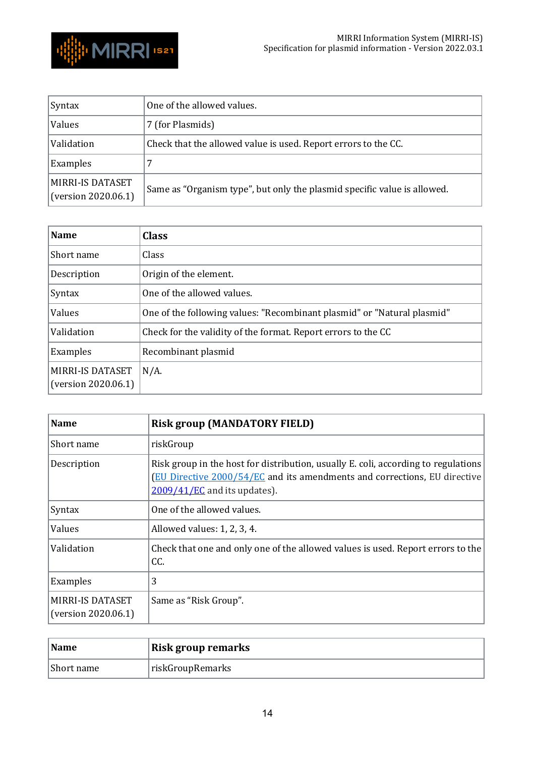



| <b>Syntax</b>                                  | One of the allowed values.                                               |
|------------------------------------------------|--------------------------------------------------------------------------|
| Values                                         | 7 (for Plasmids)                                                         |
| Validation                                     | Check that the allowed value is used. Report errors to the CC.           |
| Examples                                       |                                                                          |
| <b>MIRRI-IS DATASET</b><br>(version 2020.06.1) | Same as "Organism type", but only the plasmid specific value is allowed. |

<span id="page-13-0"></span>

| <b>Name</b>                                    | <b>Class</b>                                                            |
|------------------------------------------------|-------------------------------------------------------------------------|
| Short name                                     | Class                                                                   |
| Description                                    | Origin of the element.                                                  |
| Syntax                                         | One of the allowed values.                                              |
| Values                                         | One of the following values: "Recombinant plasmid" or "Natural plasmid" |
| Validation                                     | Check for the validity of the format. Report errors to the CC           |
| Examples                                       | Recombinant plasmid                                                     |
| <b>MIRRI-IS DATASET</b><br>(version 2020.06.1) | $N/A$ .                                                                 |
|                                                |                                                                         |

<span id="page-13-1"></span>

| <b>Name</b>                             | <b>Risk group (MANDATORY FIELD)</b>                                                                                                                                                                       |
|-----------------------------------------|-----------------------------------------------------------------------------------------------------------------------------------------------------------------------------------------------------------|
| Short name                              | riskGroup                                                                                                                                                                                                 |
| Description                             | Risk group in the host for distribution, usually E. coli, according to regulations<br><b>(EU Directive 2000/54/EC and its amendments and corrections, EU directive)</b><br>$2009/41/EC$ and its updates). |
| Syntax                                  | One of the allowed values.                                                                                                                                                                                |
| Values                                  | Allowed values: 1, 2, 3, 4.                                                                                                                                                                               |
| Validation                              | Check that one and only one of the allowed values is used. Report errors to the<br>CC.                                                                                                                    |
| Examples                                | 3                                                                                                                                                                                                         |
| MIRRI-IS DATASET<br>(version 2020.06.1) | Same as "Risk Group".                                                                                                                                                                                     |

<span id="page-13-2"></span>

| <b>Name</b> | <b>Risk group remarks</b> |
|-------------|---------------------------|
| Short name  | riskGroupRemarks          |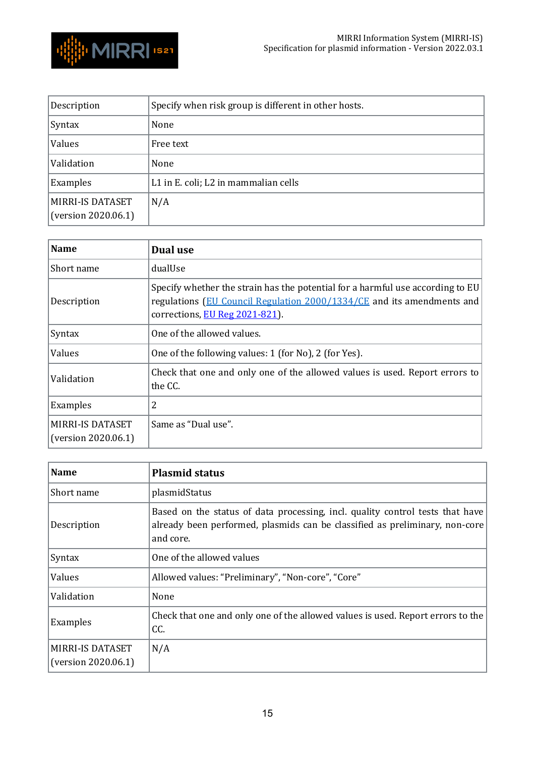

| Description                                    | Specify when risk group is different in other hosts. |
|------------------------------------------------|------------------------------------------------------|
| Syntax                                         | None                                                 |
| Values                                         | Free text                                            |
| Validation                                     | None                                                 |
| Examples                                       | L1 in E. coli; L2 in mammalian cells                 |
| <b>MIRRI-IS DATASET</b><br>(version 2020.06.1) | N/A                                                  |

<span id="page-14-0"></span>

| <b>Name</b>                                    | Dual use                                                                                                                                                                                   |
|------------------------------------------------|--------------------------------------------------------------------------------------------------------------------------------------------------------------------------------------------|
| Short name                                     | dualUse                                                                                                                                                                                    |
| Description                                    | Specify whether the strain has the potential for a harmful use according to EU<br>regulations (EU Council Regulation 2000/1334/CE and its amendments and<br>corrections, EU Reg 2021-821). |
| Syntax                                         | One of the allowed values.                                                                                                                                                                 |
| Values                                         | One of the following values: 1 (for No), 2 (for Yes).                                                                                                                                      |
| Validation                                     | Check that one and only one of the allowed values is used. Report errors to<br>the CC.                                                                                                     |
| Examples                                       | 2                                                                                                                                                                                          |
| <b>MIRRI-IS DATASET</b><br>(version 2020.06.1) | Same as "Dual use".                                                                                                                                                                        |

<span id="page-14-1"></span>

| <b>Name</b>                                    | <b>Plasmid status</b>                                                                                                                                                     |
|------------------------------------------------|---------------------------------------------------------------------------------------------------------------------------------------------------------------------------|
| Short name                                     | plasmidStatus                                                                                                                                                             |
| Description                                    | Based on the status of data processing, incl. quality control tests that have<br>already been performed, plasmids can be classified as preliminary, non-core<br>and core. |
| Syntax                                         | One of the allowed values                                                                                                                                                 |
| Values                                         | Allowed values: "Preliminary", "Non-core", "Core"                                                                                                                         |
| Validation                                     | None                                                                                                                                                                      |
| Examples                                       | Check that one and only one of the allowed values is used. Report errors to the<br>CC.                                                                                    |
| <b>MIRRI-IS DATASET</b><br>(version 2020.06.1) | N/A                                                                                                                                                                       |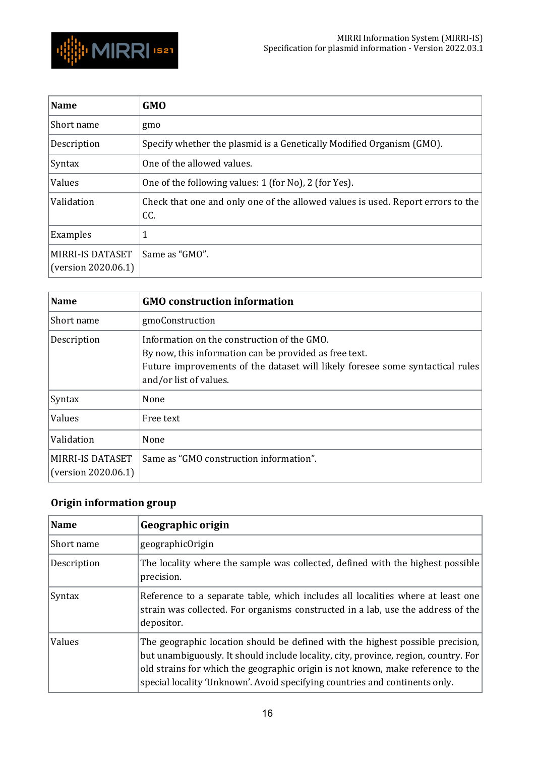

<span id="page-15-0"></span>

| <b>Name</b>                                    | <b>GMO</b>                                                                             |
|------------------------------------------------|----------------------------------------------------------------------------------------|
| Short name                                     | gmo                                                                                    |
| Description                                    | Specify whether the plasmid is a Genetically Modified Organism (GMO).                  |
| Syntax                                         | One of the allowed values.                                                             |
| Values                                         | One of the following values: 1 (for No), 2 (for Yes).                                  |
| Validation                                     | Check that one and only one of the allowed values is used. Report errors to the<br>CC. |
| Examples                                       |                                                                                        |
| <b>MIRRI-IS DATASET</b><br>(version 2020.06.1) | Same as "GMO".                                                                         |

<span id="page-15-1"></span>

| <b>Name</b>                                    | <b>GMO</b> construction information                                                                                                                                                                              |
|------------------------------------------------|------------------------------------------------------------------------------------------------------------------------------------------------------------------------------------------------------------------|
| Short name                                     | gmoConstruction                                                                                                                                                                                                  |
| Description                                    | Information on the construction of the GMO.<br>By now, this information can be provided as free text.<br>Future improvements of the dataset will likely foresee some syntactical rules<br>and/or list of values. |
| Syntax                                         | None                                                                                                                                                                                                             |
| Values                                         | Free text                                                                                                                                                                                                        |
| Validation                                     | None                                                                                                                                                                                                             |
| <b>MIRRI-IS DATASET</b><br>(version 2020.06.1) | Same as "GMO construction information".                                                                                                                                                                          |

# <span id="page-15-2"></span>**Origin information group**

<span id="page-15-3"></span>

| <b>Name</b> | Geographic origin                                                                                                                                                                                                                                                                                                                       |
|-------------|-----------------------------------------------------------------------------------------------------------------------------------------------------------------------------------------------------------------------------------------------------------------------------------------------------------------------------------------|
| Short name  | geographicOrigin                                                                                                                                                                                                                                                                                                                        |
| Description | The locality where the sample was collected, defined with the highest possible<br>precision.                                                                                                                                                                                                                                            |
| Syntax      | Reference to a separate table, which includes all localities where at least one<br>strain was collected. For organisms constructed in a lab, use the address of the<br>depositor.                                                                                                                                                       |
| Values      | The geographic location should be defined with the highest possible precision,<br>but unambiguously. It should include locality, city, province, region, country. For<br>old strains for which the geographic origin is not known, make reference to the<br>special locality 'Unknown'. Avoid specifying countries and continents only. |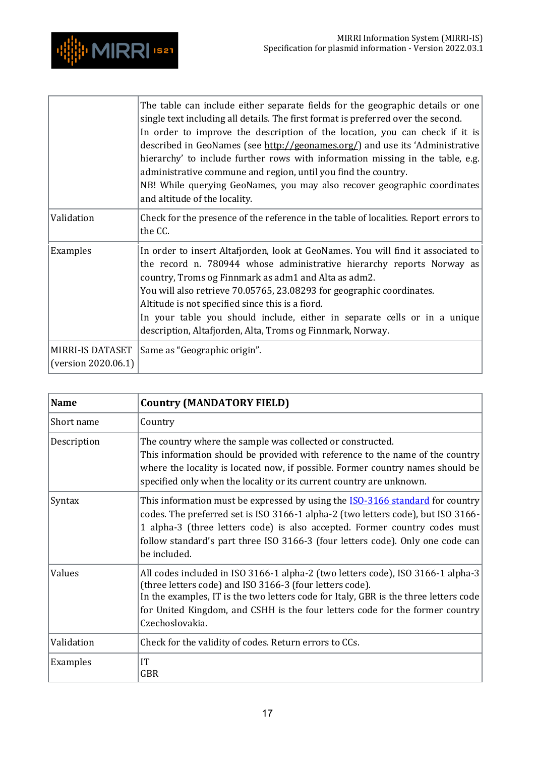

|                                                | The table can include either separate fields for the geographic details or one<br>single text including all details. The first format is preferred over the second.<br>In order to improve the description of the location, you can check if it is<br>described in GeoNames (see http://geonames.org/) and use its 'Administrative<br>hierarchy' to include further rows with information missing in the table, e.g.<br>administrative commune and region, until you find the country.<br>NB! While querying GeoNames, you may also recover geographic coordinates<br>and altitude of the locality. |
|------------------------------------------------|-----------------------------------------------------------------------------------------------------------------------------------------------------------------------------------------------------------------------------------------------------------------------------------------------------------------------------------------------------------------------------------------------------------------------------------------------------------------------------------------------------------------------------------------------------------------------------------------------------|
| Validation                                     | Check for the presence of the reference in the table of localities. Report errors to<br>the CC.                                                                                                                                                                                                                                                                                                                                                                                                                                                                                                     |
| Examples                                       | In order to insert Altafjorden, look at GeoNames. You will find it associated to<br>the record n. 780944 whose administrative hierarchy reports Norway as<br>country, Troms og Finnmark as adm1 and Alta as adm2.<br>You will also retrieve 70.05765, 23.08293 for geographic coordinates.<br>Altitude is not specified since this is a fiord.<br>In your table you should include, either in separate cells or in a unique<br>description, Altafjorden, Alta, Troms og Finnmark, Norway.                                                                                                           |
| <b>MIRRI-IS DATASET</b><br>(version 2020.06.1) | Same as "Geographic origin".                                                                                                                                                                                                                                                                                                                                                                                                                                                                                                                                                                        |

<span id="page-16-0"></span>

| <b>Name</b> | <b>Country (MANDATORY FIELD)</b>                                                                                                                                                                                                                                                                                                                         |
|-------------|----------------------------------------------------------------------------------------------------------------------------------------------------------------------------------------------------------------------------------------------------------------------------------------------------------------------------------------------------------|
| Short name  | Country                                                                                                                                                                                                                                                                                                                                                  |
| Description | The country where the sample was collected or constructed.<br>This information should be provided with reference to the name of the country<br>where the locality is located now, if possible. Former country names should be<br>specified only when the locality or its current country are unknown.                                                    |
| Syntax      | This information must be expressed by using the <b>ISO-3166 standard</b> for country<br>codes. The preferred set is ISO 3166-1 alpha-2 (two letters code), but ISO 3166-<br>1 alpha-3 (three letters code) is also accepted. Former country codes must<br>follow standard's part three ISO 3166-3 (four letters code). Only one code can<br>be included. |
| Values      | All codes included in ISO 3166-1 alpha-2 (two letters code), ISO 3166-1 alpha-3<br>(three letters code) and ISO 3166-3 (four letters code).<br>In the examples, IT is the two letters code for Italy, GBR is the three letters code<br>for United Kingdom, and CSHH is the four letters code for the former country<br>Czechoslovakia.                   |
| Validation  | Check for the validity of codes. Return errors to CCs.                                                                                                                                                                                                                                                                                                   |
| Examples    | IT<br><b>GBR</b>                                                                                                                                                                                                                                                                                                                                         |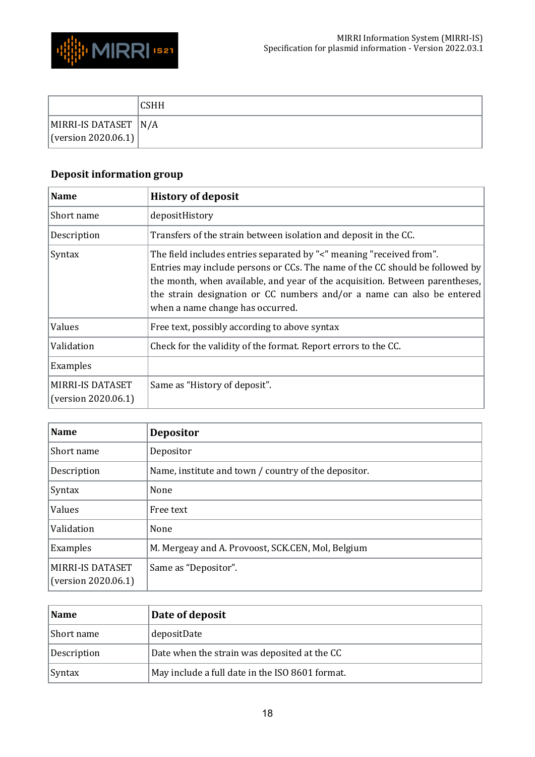



|                                             | <b>CSHH</b> |
|---------------------------------------------|-------------|
| MIRRI-IS DATASET N/A<br>(version 2020.06.1) |             |

# <span id="page-17-0"></span>**Deposit information group**

<span id="page-17-1"></span>

| <b>Name</b>                                    | <b>History of deposit</b>                                                                                                                                                                                                                                                                                                                          |
|------------------------------------------------|----------------------------------------------------------------------------------------------------------------------------------------------------------------------------------------------------------------------------------------------------------------------------------------------------------------------------------------------------|
| Short name                                     | depositHistory                                                                                                                                                                                                                                                                                                                                     |
| Description                                    | Transfers of the strain between isolation and deposit in the CC.                                                                                                                                                                                                                                                                                   |
| Syntax                                         | The field includes entries separated by "<" meaning "received from".<br>Entries may include persons or CCs. The name of the CC should be followed by<br>the month, when available, and year of the acquisition. Between parentheses,<br>the strain designation or CC numbers and/or a name can also be entered<br>when a name change has occurred. |
| Values                                         | Free text, possibly according to above syntax                                                                                                                                                                                                                                                                                                      |
| Validation                                     | Check for the validity of the format. Report errors to the CC.                                                                                                                                                                                                                                                                                     |
| Examples                                       |                                                                                                                                                                                                                                                                                                                                                    |
| <b>MIRRI-IS DATASET</b><br>(version 2020.06.1) | Same as "History of deposit".                                                                                                                                                                                                                                                                                                                      |

<span id="page-17-2"></span>

| <b>Name</b>                                    | <b>Depositor</b>                                     |
|------------------------------------------------|------------------------------------------------------|
| Short name                                     | Depositor                                            |
| Description                                    | Name, institute and town / country of the depositor. |
| Syntax                                         | None                                                 |
| Values                                         | Free text                                            |
| Validation                                     | None                                                 |
| Examples                                       | M. Mergeay and A. Provoost, SCK.CEN, Mol, Belgium    |
| <b>MIRRI-IS DATASET</b><br>(version 2020.06.1) | Same as "Depositor".                                 |

<span id="page-17-3"></span>

| Name          | Date of deposit                                 |
|---------------|-------------------------------------------------|
| Short name    | depositDate                                     |
| Description   | Date when the strain was deposited at the CC    |
| <b>Syntax</b> | May include a full date in the ISO 8601 format. |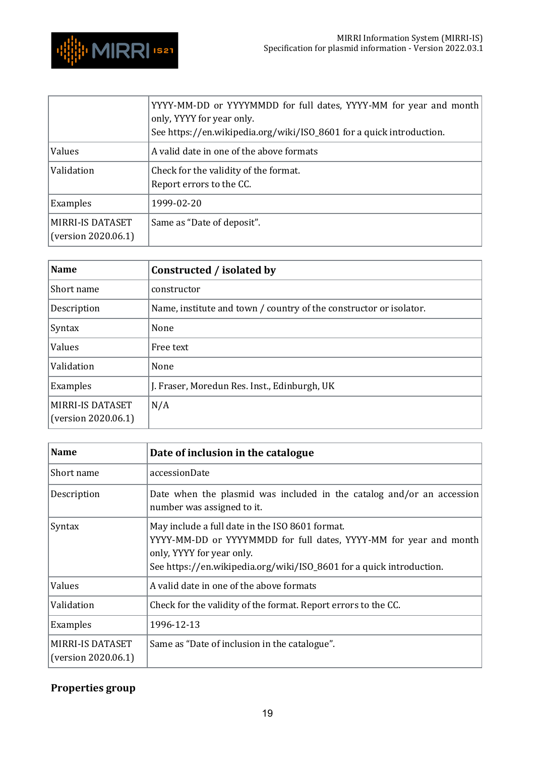

|                                         | YYYY-MM-DD or YYYYMMDD for full dates, YYYY-MM for year and month<br>only, YYYY for year only.<br>See https://en.wikipedia.org/wiki/ISO_8601 for a quick introduction. |
|-----------------------------------------|------------------------------------------------------------------------------------------------------------------------------------------------------------------------|
| Values                                  | A valid date in one of the above formats                                                                                                                               |
| Validation                              | Check for the validity of the format.<br>Report errors to the CC.                                                                                                      |
| Examples                                | 1999-02-20                                                                                                                                                             |
| MIRRI-IS DATASET<br>(version 2020.06.1) | Same as "Date of deposit".                                                                                                                                             |

<span id="page-18-0"></span>

| <b>Name</b>                             | Constructed / isolated by                                          |
|-----------------------------------------|--------------------------------------------------------------------|
| Short name                              | constructor                                                        |
| Description                             | Name, institute and town / country of the constructor or isolator. |
| Syntax                                  | None                                                               |
| Values                                  | Free text                                                          |
| Validation                              | None                                                               |
| Examples                                | J. Fraser, Moredun Res. Inst., Edinburgh, UK                       |
| MIRRI-IS DATASET<br>(version 2020.06.1) | N/A                                                                |

<span id="page-18-1"></span>

| Name                                    | Date of inclusion in the catalogue                                                                                                                                                                                        |
|-----------------------------------------|---------------------------------------------------------------------------------------------------------------------------------------------------------------------------------------------------------------------------|
| Short name                              | accessionDate                                                                                                                                                                                                             |
| Description                             | Date when the plasmid was included in the catalog and/or an accession<br>number was assigned to it.                                                                                                                       |
| <b>Syntax</b>                           | May include a full date in the ISO 8601 format.<br>YYYY-MM-DD or YYYYMMDD for full dates, YYYY-MM for year and month<br>only, YYYY for year only.<br>See https://en.wikipedia.org/wiki/ISO_8601 for a quick introduction. |
| Values                                  | A valid date in one of the above formats                                                                                                                                                                                  |
| Validation                              | Check for the validity of the format. Report errors to the CC.                                                                                                                                                            |
| Examples                                | 1996-12-13                                                                                                                                                                                                                |
| MIRRI-IS DATASET<br>(version 2020.06.1) | Same as "Date of inclusion in the catalogue".                                                                                                                                                                             |

# <span id="page-18-2"></span>**Properties group**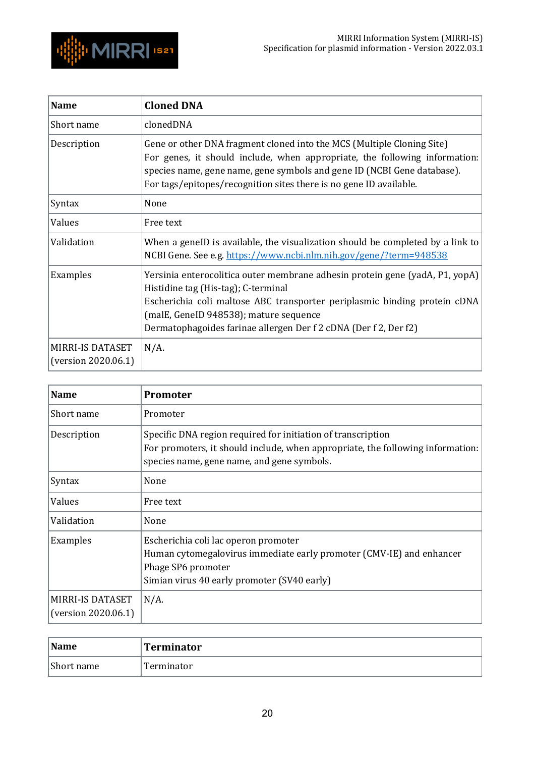

<span id="page-19-0"></span>

| <b>Name</b>                             | <b>Cloned DNA</b>                                                                                                                                                                                                                                                                                              |
|-----------------------------------------|----------------------------------------------------------------------------------------------------------------------------------------------------------------------------------------------------------------------------------------------------------------------------------------------------------------|
| Short name                              | clonedDNA                                                                                                                                                                                                                                                                                                      |
| Description                             | Gene or other DNA fragment cloned into the MCS (Multiple Cloning Site)<br>For genes, it should include, when appropriate, the following information:<br>species name, gene name, gene symbols and gene ID (NCBI Gene database).<br>For tags/epitopes/recognition sites there is no gene ID available.          |
| Syntax                                  | None                                                                                                                                                                                                                                                                                                           |
| Values                                  | Free text                                                                                                                                                                                                                                                                                                      |
| Validation                              | When a geneID is available, the visualization should be completed by a link to<br>NCBI Gene. See e.g. https://www.ncbi.nlm.nih.gov/gene/?term=948538                                                                                                                                                           |
| Examples                                | Yersinia enterocolitica outer membrane adhesin protein gene (yadA, P1, yopA)<br>Histidine tag (His-tag); C-terminal<br>Escherichia coli maltose ABC transporter periplasmic binding protein cDNA<br>(malE, GeneID 948538); mature sequence<br>Dermatophagoides farinae allergen Der f 2 cDNA (Der f 2, Der f2) |
| MIRRI-IS DATASET<br>(version 2020.06.1) | $N/A$ .                                                                                                                                                                                                                                                                                                        |

<span id="page-19-1"></span>

| <b>Name</b>                                    | <b>Promoter</b>                                                                                                                                                                              |
|------------------------------------------------|----------------------------------------------------------------------------------------------------------------------------------------------------------------------------------------------|
| Short name                                     | Promoter                                                                                                                                                                                     |
| Description                                    | Specific DNA region required for initiation of transcription<br>For promoters, it should include, when appropriate, the following information:<br>species name, gene name, and gene symbols. |
| Syntax                                         | None                                                                                                                                                                                         |
| Values                                         | Free text                                                                                                                                                                                    |
| Validation                                     | None                                                                                                                                                                                         |
| Examples                                       | Escherichia coli lac operon promoter<br>Human cytomegalovirus immediate early promoter (CMV-IE) and enhancer<br>Phage SP6 promoter<br>Simian virus 40 early promoter (SV40 early)            |
| <b>MIRRI-IS DATASET</b><br>(version 2020.06.1) | $N/A$ .                                                                                                                                                                                      |

<span id="page-19-2"></span>

| <b>Name</b> | Terminator |
|-------------|------------|
| Short name  | Terminator |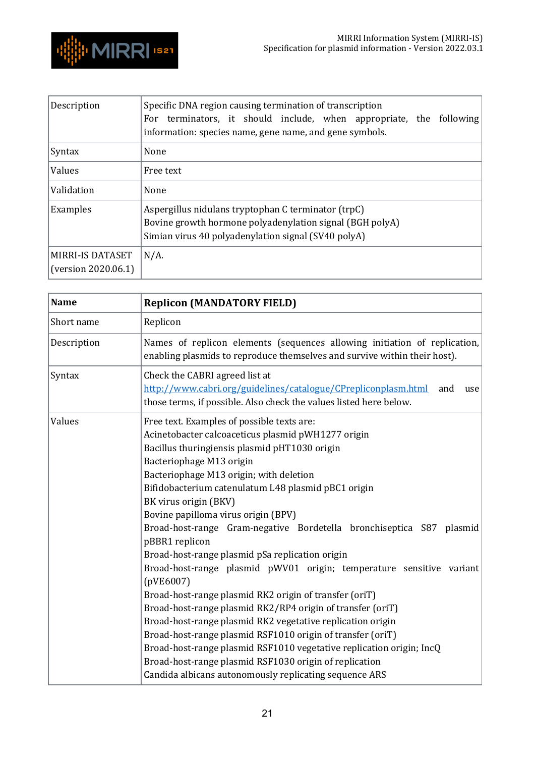

| Description                             | Specific DNA region causing termination of transcription<br>For terminators, it should include, when appropriate, the following<br>information: species name, gene name, and gene symbols. |
|-----------------------------------------|--------------------------------------------------------------------------------------------------------------------------------------------------------------------------------------------|
| Syntax                                  | None                                                                                                                                                                                       |
| Values                                  | Free text                                                                                                                                                                                  |
| Validation                              | None                                                                                                                                                                                       |
| Examples                                | Aspergillus nidulans tryptophan C terminator (trpC)<br>Bovine growth hormone polyadenylation signal (BGH polyA)<br>Simian virus 40 polyadenylation signal (SV40 polyA)                     |
| MIRRI-IS DATASET<br>(version 2020.06.1) | $N/A$ .                                                                                                                                                                                    |

<span id="page-20-0"></span>

| <b>Name</b> | <b>Replicon (MANDATORY FIELD)</b>                                                                                                                                                                                                                                                                                                                                                                                                                                                                                                                                                                                                                                                                                                                                                                                                                                                                                                                                                                                                 |
|-------------|-----------------------------------------------------------------------------------------------------------------------------------------------------------------------------------------------------------------------------------------------------------------------------------------------------------------------------------------------------------------------------------------------------------------------------------------------------------------------------------------------------------------------------------------------------------------------------------------------------------------------------------------------------------------------------------------------------------------------------------------------------------------------------------------------------------------------------------------------------------------------------------------------------------------------------------------------------------------------------------------------------------------------------------|
| Short name  | Replicon                                                                                                                                                                                                                                                                                                                                                                                                                                                                                                                                                                                                                                                                                                                                                                                                                                                                                                                                                                                                                          |
| Description | Names of replicon elements (sequences allowing initiation of replication,<br>enabling plasmids to reproduce themselves and survive within their host).                                                                                                                                                                                                                                                                                                                                                                                                                                                                                                                                                                                                                                                                                                                                                                                                                                                                            |
| Syntax      | Check the CABRI agreed list at<br>http://www.cabri.org/guidelines/catalogue/CPrepliconplasm.html<br>and<br>use<br>those terms, if possible. Also check the values listed here below.                                                                                                                                                                                                                                                                                                                                                                                                                                                                                                                                                                                                                                                                                                                                                                                                                                              |
| Values      | Free text. Examples of possible texts are:<br>Acinetobacter calcoaceticus plasmid pWH1277 origin<br>Bacillus thuringiensis plasmid pHT1030 origin<br>Bacteriophage M13 origin<br>Bacteriophage M13 origin; with deletion<br>Bifidobacterium catenulatum L48 plasmid pBC1 origin<br>BK virus origin (BKV)<br>Bovine papilloma virus origin (BPV)<br>Broad-host-range Gram-negative Bordetella bronchiseptica S87 plasmid<br>pBBR1 replicon<br>Broad-host-range plasmid pSa replication origin<br>Broad-host-range plasmid pWV01 origin; temperature sensitive variant<br>(pVE6007)<br>Broad-host-range plasmid RK2 origin of transfer (oriT)<br>Broad-host-range plasmid RK2/RP4 origin of transfer (oriT)<br>Broad-host-range plasmid RK2 vegetative replication origin<br>Broad-host-range plasmid RSF1010 origin of transfer (oriT)<br>Broad-host-range plasmid RSF1010 vegetative replication origin; IncQ<br>Broad-host-range plasmid RSF1030 origin of replication<br>Candida albicans autonomously replicating sequence ARS |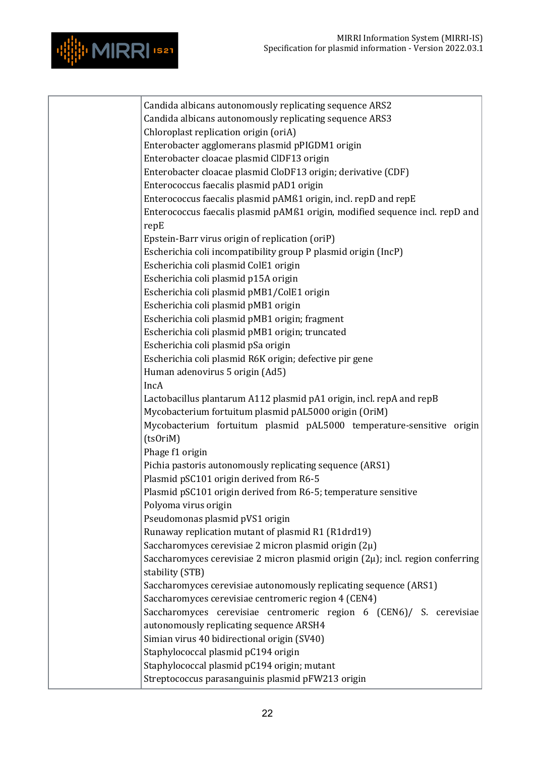

| Candida albicans autonomously replicating sequence ARS2                             |
|-------------------------------------------------------------------------------------|
| Candida albicans autonomously replicating sequence ARS3                             |
| Chloroplast replication origin (oriA)                                               |
| Enterobacter agglomerans plasmid pPIGDM1 origin                                     |
| Enterobacter cloacae plasmid CIDF13 origin                                          |
| Enterobacter cloacae plasmid CloDF13 origin; derivative (CDF)                       |
| Enterococcus faecalis plasmid pAD1 origin                                           |
| Enterococcus faecalis plasmid pAMß1 origin, incl. repD and repE                     |
| Enterococcus faecalis plasmid pAMß1 origin, modified sequence incl. repD and        |
| repE                                                                                |
| Epstein-Barr virus origin of replication (oriP)                                     |
| Escherichia coli incompatibility group P plasmid origin (IncP)                      |
| Escherichia coli plasmid ColE1 origin                                               |
| Escherichia coli plasmid p15A origin                                                |
| Escherichia coli plasmid pMB1/ColE1 origin                                          |
| Escherichia coli plasmid pMB1 origin                                                |
| Escherichia coli plasmid pMB1 origin; fragment                                      |
| Escherichia coli plasmid pMB1 origin; truncated                                     |
| Escherichia coli plasmid pSa origin                                                 |
| Escherichia coli plasmid R6K origin; defective pir gene                             |
| Human adenovirus 5 origin (Ad5)                                                     |
| IncA                                                                                |
| Lactobacillus plantarum A112 plasmid pA1 origin, incl. repA and repB                |
| Mycobacterium fortuitum plasmid pAL5000 origin (OriM)                               |
| Mycobacterium fortuitum plasmid pAL5000 temperature-sensitive origin                |
| (ts0riM)                                                                            |
| Phage f1 origin                                                                     |
| Pichia pastoris autonomously replicating sequence (ARS1)                            |
| Plasmid pSC101 origin derived from R6-5                                             |
| Plasmid pSC101 origin derived from R6-5; temperature sensitive                      |
| Polyoma virus origin                                                                |
| Pseudomonas plasmid pVS1 origin                                                     |
| Runaway replication mutant of plasmid R1 (R1drd19)                                  |
| Saccharomyces cerevisiae 2 micron plasmid origin $(2\mu)$                           |
| Saccharomyces cerevisiae 2 micron plasmid origin $(2\mu)$ ; incl. region conferring |
| stability (STB)                                                                     |
| Saccharomyces cerevisiae autonomously replicating sequence (ARS1)                   |
| Saccharomyces cerevisiae centromeric region 4 (CEN4)                                |
| Saccharomyces cerevisiae centromeric region 6 (CEN6)/ S. cerevisiae                 |
| autonomously replicating sequence ARSH4                                             |
| Simian virus 40 bidirectional origin (SV40)                                         |
| Staphylococcal plasmid pC194 origin                                                 |
| Staphylococcal plasmid pC194 origin; mutant                                         |
| Streptococcus parasanguinis plasmid pFW213 origin                                   |
|                                                                                     |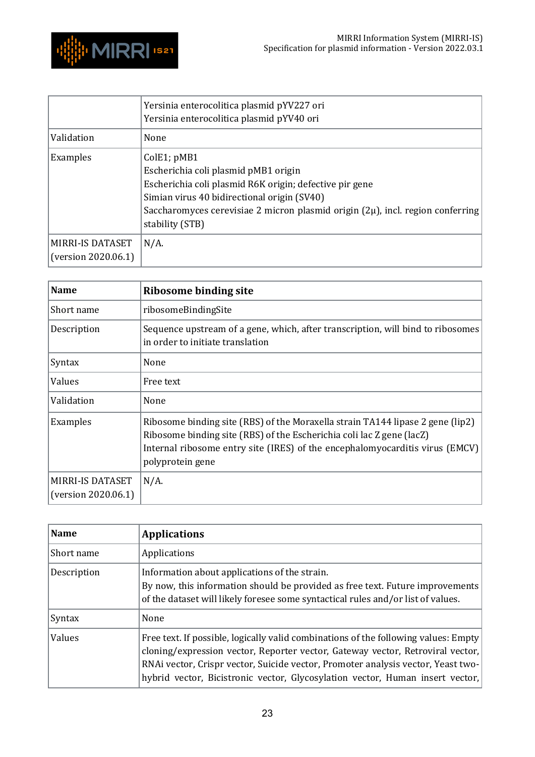

|                                                | Yersinia enterocolitica plasmid pYV227 ori<br>Yersinia enterocolitica plasmid pYV40 ori                                                                                                                                                                                 |
|------------------------------------------------|-------------------------------------------------------------------------------------------------------------------------------------------------------------------------------------------------------------------------------------------------------------------------|
| Validation                                     | None                                                                                                                                                                                                                                                                    |
| Examples                                       | ColE1; pMB1<br>Escherichia coli plasmid pMB1 origin<br>Escherichia coli plasmid R6K origin; defective pir gene<br>Simian virus 40 bidirectional origin (SV40)<br>Saccharomyces cerevisiae 2 micron plasmid origin $(2\mu)$ , incl. region conferring<br>stability (STB) |
| <b>MIRRI-IS DATASET</b><br>(version 2020.06.1) | $N/A$ .                                                                                                                                                                                                                                                                 |

<span id="page-22-0"></span>

| <b>Name</b>                                    | <b>Ribosome binding site</b>                                                                                                                                                                                                                                |
|------------------------------------------------|-------------------------------------------------------------------------------------------------------------------------------------------------------------------------------------------------------------------------------------------------------------|
| Short name                                     | ribosomeBindingSite                                                                                                                                                                                                                                         |
| Description                                    | Sequence upstream of a gene, which, after transcription, will bind to ribosomes<br>in order to initiate translation                                                                                                                                         |
| Syntax                                         | None                                                                                                                                                                                                                                                        |
| Values                                         | Free text                                                                                                                                                                                                                                                   |
| Validation                                     | None                                                                                                                                                                                                                                                        |
| Examples                                       | Ribosome binding site (RBS) of the Moraxella strain TA144 lipase 2 gene (lip2)<br>Ribosome binding site (RBS) of the Escherichia coli lac Z gene (lacZ)<br>Internal ribosome entry site (IRES) of the encephalomyocarditis virus (EMCV)<br>polyprotein gene |
| <b>MIRRI-IS DATASET</b><br>(version 2020.06.1) | $N/A$ .                                                                                                                                                                                                                                                     |

<span id="page-22-1"></span>

| <b>Name</b> | <b>Applications</b>                                                                                                                                                                                                                                                                                                                        |
|-------------|--------------------------------------------------------------------------------------------------------------------------------------------------------------------------------------------------------------------------------------------------------------------------------------------------------------------------------------------|
| Short name  | Applications                                                                                                                                                                                                                                                                                                                               |
| Description | Information about applications of the strain.<br>By now, this information should be provided as free text. Future improvements<br>of the dataset will likely foresee some syntactical rules and/or list of values.                                                                                                                         |
| Syntax      | None                                                                                                                                                                                                                                                                                                                                       |
| Values      | Free text. If possible, logically valid combinations of the following values: Empty<br>cloning/expression vector, Reporter vector, Gateway vector, Retroviral vector,<br>RNAi vector, Crispr vector, Suicide vector, Promoter analysis vector, Yeast two-<br>hybrid vector, Bicistronic vector, Glycosylation vector, Human insert vector, |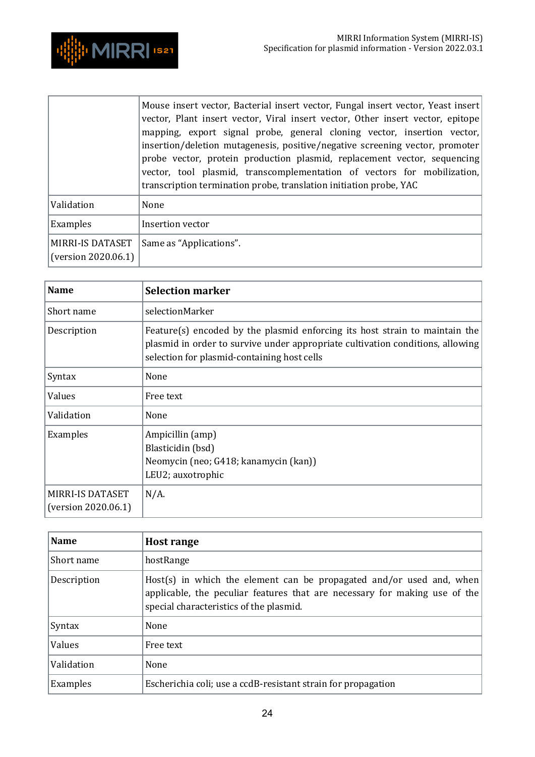

|                                                | Mouse insert vector, Bacterial insert vector, Fungal insert vector, Yeast insert<br>vector, Plant insert vector, Viral insert vector, Other insert vector, epitope<br>mapping, export signal probe, general cloning vector, insertion vector,<br>insertion/deletion mutagenesis, positive/negative screening vector, promoter<br>probe vector, protein production plasmid, replacement vector, sequencing<br>vector, tool plasmid, transcomplementation of vectors for mobilization,<br>transcription termination probe, translation initiation probe, YAC |
|------------------------------------------------|------------------------------------------------------------------------------------------------------------------------------------------------------------------------------------------------------------------------------------------------------------------------------------------------------------------------------------------------------------------------------------------------------------------------------------------------------------------------------------------------------------------------------------------------------------|
| Validation                                     | None                                                                                                                                                                                                                                                                                                                                                                                                                                                                                                                                                       |
| Examples                                       | Insertion vector                                                                                                                                                                                                                                                                                                                                                                                                                                                                                                                                           |
| <b>MIRRI-IS DATASET</b><br>(version 2020.06.1) | Same as "Applications".                                                                                                                                                                                                                                                                                                                                                                                                                                                                                                                                    |

<span id="page-23-0"></span>

| <b>Name</b>                                    | <b>Selection marker</b>                                                                                                                                                                                      |
|------------------------------------------------|--------------------------------------------------------------------------------------------------------------------------------------------------------------------------------------------------------------|
| Short name                                     | selectionMarker                                                                                                                                                                                              |
| Description                                    | Feature(s) encoded by the plasmid enforcing its host strain to maintain the<br>plasmid in order to survive under appropriate cultivation conditions, allowing<br>selection for plasmid-containing host cells |
| Syntax                                         | None                                                                                                                                                                                                         |
| Values                                         | Free text                                                                                                                                                                                                    |
| Validation                                     | None                                                                                                                                                                                                         |
| Examples                                       | Ampicillin (amp)<br>Blasticidin (bsd)<br>Neomycin (neo; G418; kanamycin (kan))<br>LEU2; auxotrophic                                                                                                          |
| <b>MIRRI-IS DATASET</b><br>(version 2020.06.1) | $N/A$ .                                                                                                                                                                                                      |

<span id="page-23-1"></span>

| <b>Name</b> | <b>Host range</b>                                                                                                                                                                             |
|-------------|-----------------------------------------------------------------------------------------------------------------------------------------------------------------------------------------------|
| Short name  | hostRange                                                                                                                                                                                     |
| Description | Host(s) in which the element can be propagated and/or used and, when<br>applicable, the peculiar features that are necessary for making use of the<br>special characteristics of the plasmid. |
| Syntax      | None                                                                                                                                                                                          |
| Values      | Free text                                                                                                                                                                                     |
| Validation  | None                                                                                                                                                                                          |
| Examples    | Escherichia coli; use a ccdB-resistant strain for propagation                                                                                                                                 |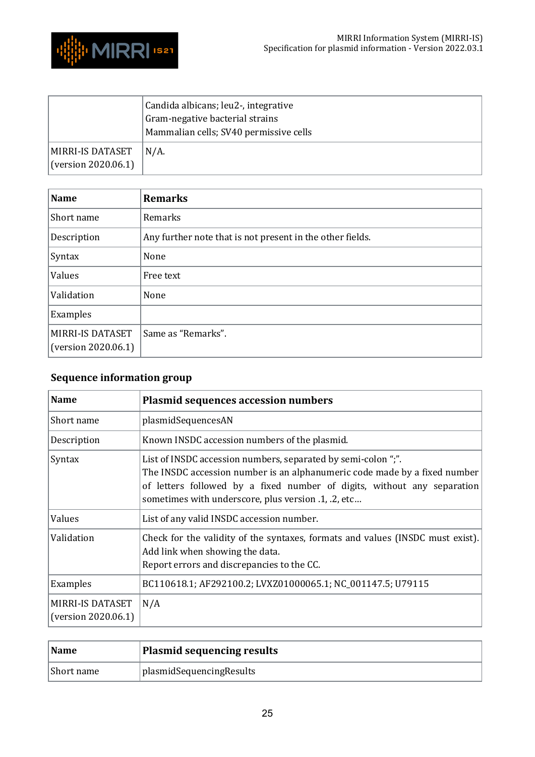

|                                         | Candida albicans; leu2-, integrative<br>Gram-negative bacterial strains<br>Mammalian cells; SV40 permissive cells |
|-----------------------------------------|-------------------------------------------------------------------------------------------------------------------|
| MIRRI-IS DATASET<br>(version 2020.06.1) | $N/A$ .                                                                                                           |

<span id="page-24-0"></span>

| <b>Name</b>                                    | <b>Remarks</b>                                            |
|------------------------------------------------|-----------------------------------------------------------|
| Short name                                     | Remarks                                                   |
| Description                                    | Any further note that is not present in the other fields. |
| Syntax                                         | None                                                      |
| Values                                         | Free text                                                 |
| Validation                                     | None                                                      |
| Examples                                       |                                                           |
| <b>MIRRI-IS DATASET</b><br>(version 2020.06.1) | Same as "Remarks".                                        |

## <span id="page-24-1"></span>**Sequence information group**

<span id="page-24-2"></span>

| <b>Name</b>                             | <b>Plasmid sequences accession numbers</b>                                                                                                                                                                                                                                   |
|-----------------------------------------|------------------------------------------------------------------------------------------------------------------------------------------------------------------------------------------------------------------------------------------------------------------------------|
| Short name                              | plasmidSequencesAN                                                                                                                                                                                                                                                           |
| Description                             | Known INSDC accession numbers of the plasmid.                                                                                                                                                                                                                                |
| Syntax                                  | List of INSDC accession numbers, separated by semi-colon ";".<br>The INSDC accession number is an alphanumeric code made by a fixed number<br>of letters followed by a fixed number of digits, without any separation<br>sometimes with underscore, plus version .1, .2, etc |
| Values                                  | List of any valid INSDC accession number.                                                                                                                                                                                                                                    |
| Validation                              | Check for the validity of the syntaxes, formats and values (INSDC must exist).<br>Add link when showing the data.<br>Report errors and discrepancies to the CC.                                                                                                              |
| Examples                                | BC110618.1; AF292100.2; LVXZ01000065.1; NC_001147.5; U79115                                                                                                                                                                                                                  |
| MIRRI-IS DATASET<br>(version 2020.06.1) | N/A                                                                                                                                                                                                                                                                          |

<span id="page-24-3"></span>

| Name       | Plasmid sequencing results        |
|------------|-----------------------------------|
| Short name | <i>I</i> plasmidSequencingResults |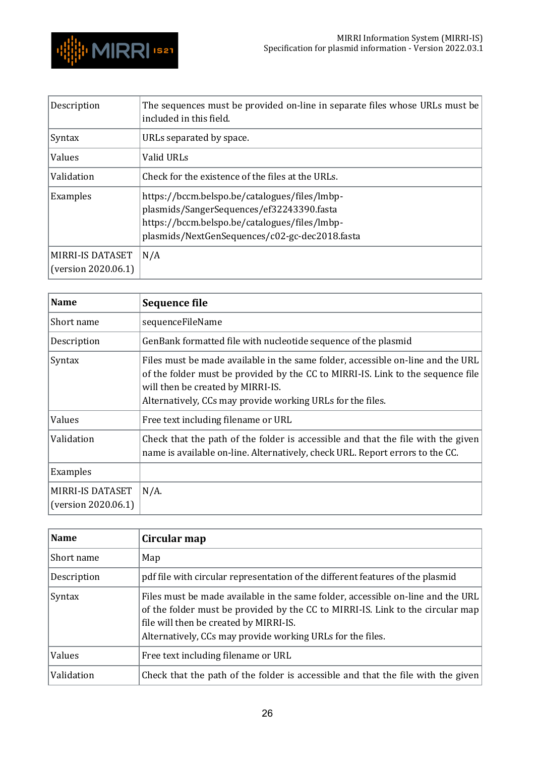

| Description                                    | The sequences must be provided on-line in separate files whose URLs must be<br>included in this field.                                                                                        |
|------------------------------------------------|-----------------------------------------------------------------------------------------------------------------------------------------------------------------------------------------------|
| Syntax                                         | URLs separated by space.                                                                                                                                                                      |
| Values                                         | Valid URLs                                                                                                                                                                                    |
| Validation                                     | Check for the existence of the files at the URLs.                                                                                                                                             |
| Examples                                       | https://bccm.belspo.be/catalogues/files/lmbp-<br>plasmids/SangerSequences/ef32243390.fasta<br>https://bccm.belspo.be/catalogues/files/lmbp-<br>plasmids/NextGenSequences/c02-gc-dec2018.fasta |
| <b>MIRRI-IS DATASET</b><br>(version 2020.06.1) | N/A                                                                                                                                                                                           |

<span id="page-25-0"></span>

| <b>Name</b>                             | Sequence file                                                                                                                                                                                                                                                         |
|-----------------------------------------|-----------------------------------------------------------------------------------------------------------------------------------------------------------------------------------------------------------------------------------------------------------------------|
| Short name                              | sequenceFileName                                                                                                                                                                                                                                                      |
| Description                             | GenBank formatted file with nucleotide sequence of the plasmid                                                                                                                                                                                                        |
| Syntax                                  | Files must be made available in the same folder, accessible on-line and the URL<br>of the folder must be provided by the CC to MIRRI-IS. Link to the sequence file<br>will then be created by MIRRI-IS.<br>Alternatively, CCs may provide working URLs for the files. |
| Values                                  | Free text including filename or URL                                                                                                                                                                                                                                   |
| Validation                              | Check that the path of the folder is accessible and that the file with the given<br>name is available on-line. Alternatively, check URL. Report errors to the CC.                                                                                                     |
| Examples                                |                                                                                                                                                                                                                                                                       |
| MIRRI-IS DATASET<br>(version 2020.06.1) | $N/A$ .                                                                                                                                                                                                                                                               |

<span id="page-25-1"></span>

| Name        | Circular map                                                                                                                                                                                                                                                              |
|-------------|---------------------------------------------------------------------------------------------------------------------------------------------------------------------------------------------------------------------------------------------------------------------------|
| Short name  | Map                                                                                                                                                                                                                                                                       |
| Description | pdf file with circular representation of the different features of the plasmid                                                                                                                                                                                            |
| Syntax      | Files must be made available in the same folder, accessible on-line and the URL<br>of the folder must be provided by the CC to MIRRI-IS. Link to the circular map<br>file will then be created by MIRRI-IS.<br>Alternatively, CCs may provide working URLs for the files. |
| Values      | Free text including filename or URL                                                                                                                                                                                                                                       |
| Validation  | Check that the path of the folder is accessible and that the file with the given                                                                                                                                                                                          |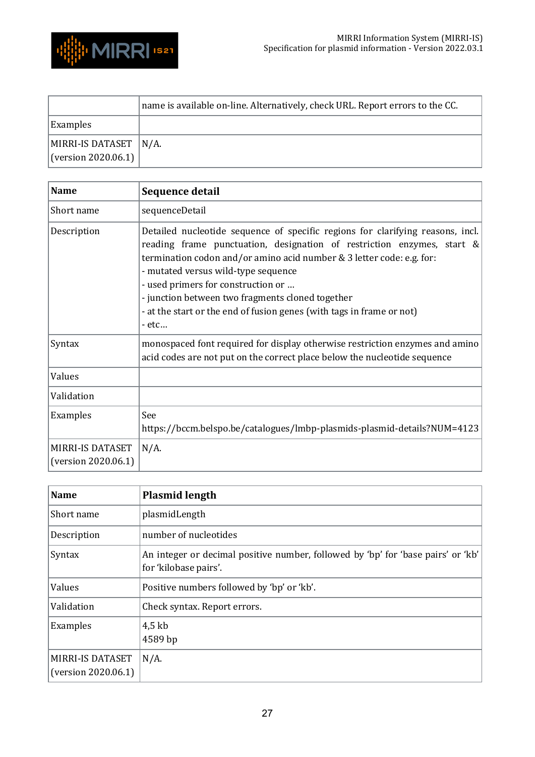

|                       | name is available on-line. Alternatively, check URL. Report errors to the CC. |
|-----------------------|-------------------------------------------------------------------------------|
| <b>Examples</b>       |                                                                               |
| MIRRI-IS DATASET N/A. |                                                                               |
| (version 2020.06.1)   |                                                                               |

<span id="page-26-0"></span>

| <b>Name</b>                             | Sequence detail                                                                                                                                                                                                                                                                                                                                                                                                                                          |
|-----------------------------------------|----------------------------------------------------------------------------------------------------------------------------------------------------------------------------------------------------------------------------------------------------------------------------------------------------------------------------------------------------------------------------------------------------------------------------------------------------------|
| Short name                              | sequenceDetail                                                                                                                                                                                                                                                                                                                                                                                                                                           |
| Description                             | Detailed nucleotide sequence of specific regions for clarifying reasons, incl.<br>reading frame punctuation, designation of restriction enzymes, start $\&$<br>termination codon and/or amino acid number & 3 letter code: e.g. for:<br>- mutated versus wild-type sequence<br>- used primers for construction or<br>- junction between two fragments cloned together<br>- at the start or the end of fusion genes (with tags in frame or not)<br>$-etc$ |
| Syntax                                  | monospaced font required for display otherwise restriction enzymes and amino<br>acid codes are not put on the correct place below the nucleotide sequence                                                                                                                                                                                                                                                                                                |
| Values                                  |                                                                                                                                                                                                                                                                                                                                                                                                                                                          |
| Validation                              |                                                                                                                                                                                                                                                                                                                                                                                                                                                          |
| Examples                                | See<br>https://bccm.belspo.be/catalogues/lmbp-plasmids-plasmid-details?NUM=4123                                                                                                                                                                                                                                                                                                                                                                          |
| MIRRI-IS DATASET<br>(version 2020.06.1) | $N/A$ .                                                                                                                                                                                                                                                                                                                                                                                                                                                  |

<span id="page-26-1"></span>

| <b>Name</b>                             | <b>Plasmid length</b>                                                                                     |
|-----------------------------------------|-----------------------------------------------------------------------------------------------------------|
| Short name                              | plasmidLength                                                                                             |
| Description                             | number of nucleotides                                                                                     |
| Syntax                                  | An integer or decimal positive number, followed by 'bp' for 'base pairs' or 'kb'<br>for 'kilobase pairs'. |
| Values                                  | Positive numbers followed by 'bp' or 'kb'.                                                                |
| Validation                              | Check syntax. Report errors.                                                                              |
| Examples                                | $4,5$ kb<br>4589 bp                                                                                       |
| MIRRI-IS DATASET<br>(version 2020.06.1) | $N/A$ .                                                                                                   |